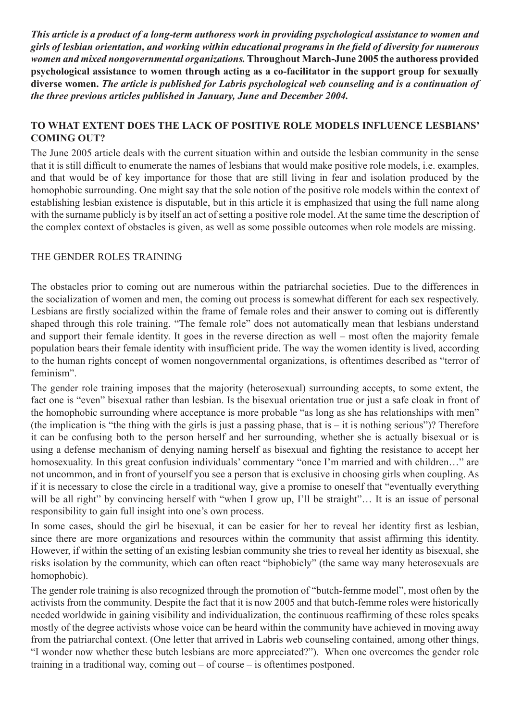*This article is a product of a long-term authoress work in providing psychological assistance to women and girls of lesbian orientation, and working within educational programs in the field of diversity for numerous women and mixed nongovernmental organizations.* **Throughout March-June 2005 the authoress provided psychological assistance to women through acting as a co-facilitator in the support group for sexually diverse women.** *The article is published for Labris psychological web counseling and is a continuation of the three previous articles published in January, June and December 2004.* 

## **TO WHAT EXTENT DOES THE LACK OF POSITIVE ROLE MODELS INFLUENCE LESBIANS' COMING OUT?**

The June 2005 article deals with the current situation within and outside the lesbian community in the sense that it is still difficult to enumerate the names of lesbians that would make positive role models, i.e. examples, and that would be of key importance for those that are still living in fear and isolation produced by the homophobic surrounding. One might say that the sole notion of the positive role models within the context of establishing lesbian existence is disputable, but in this article it is emphasized that using the full name along with the surname publicly is by itself an act of setting a positive role model. At the same time the description of the complex context of obstacles is given, as well as some possible outcomes when role models are missing.

## THE GENDER ROLES TRAINING

The obstacles prior to coming out are numerous within the patriarchal societies. Due to the differences in the socialization of women and men, the coming out process is somewhat different for each sex respectively. Lesbians are firstly socialized within the frame of female roles and their answer to coming out is differently shaped through this role training. "The female role" does not automatically mean that lesbians understand and support their female identity. It goes in the reverse direction as well – most often the majority female population bears their female identity with insufficient pride. The way the women identity is lived, according to the human rights concept of women nongovernmental organizations, is oftentimes described as "terror of feminism".

The gender role training imposes that the majority (heterosexual) surrounding accepts, to some extent, the fact one is "even" bisexual rather than lesbian. Is the bisexual orientation true or just a safe cloak in front of the homophobic surrounding where acceptance is more probable "as long as she has relationships with men" (the implication is "the thing with the girls is just a passing phase, that is  $-$  it is nothing serious")? Therefore it can be confusing both to the person herself and her surrounding, whether she is actually bisexual or is using a defense mechanism of denying naming herself as bisexual and fighting the resistance to accept her homosexuality. In this great confusion individuals' commentary "once I'm married and with children..." are not uncommon, and in front of yourself you see a person that is exclusive in choosing girls when coupling. As if it is necessary to close the circle in a traditional way, give a promise to oneself that "eventually everything will be all right" by convincing herself with "when I grow up, I'll be straight"... It is an issue of personal responsibility to gain full insight into one's own process.

In some cases, should the girl be bisexual, it can be easier for her to reveal her identity first as lesbian, since there are more organizations and resources within the community that assist affirming this identity. However, if within the setting of an existing lesbian community she tries to reveal her identity as bisexual, she risks isolation by the community, which can often react "biphobicly" (the same way many heterosexuals are homophobic).

The gender role training is also recognized through the promotion of "butch-femme model", most often by the activists from the community. Despite the fact that it is now 2005 and that butch-femme roles were historically needed worldwide in gaining visibility and individualization, the continuous reaffirming of these roles speaks mostly of the degree activists whose voice can be heard within the community have achieved in moving away from the patriarchal context. (One letter that arrived in Labris web counseling contained, among other things, "I wonder now whether these butch lesbians are more appreciated?"). When one overcomes the gender role training in a traditional way, coming out – of course – is oftentimes postponed.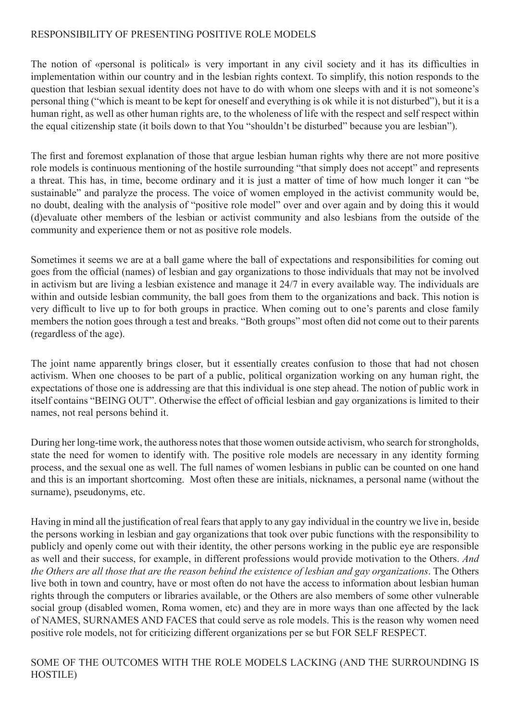## RESPONSIBILITY OF PRESENTING POSITIVE ROLE MODELS

The notion of «personal is political» is very important in any civil society and it has its difficulties in implementation within our country and in the lesbian rights context. To simplify, this notion responds to the question that lesbian sexual identity does not have to do with whom one sleeps with and it is not someone's personal thing ("which is meant to be kept for oneself and everything is ok while it is not disturbed"), but it is a human right, as well as other human rights are, to the wholeness of life with the respect and self respect within the equal citizenship state (it boils down to that You "shouldn't be disturbed" because you are lesbian").

The first and foremost explanation of those that argue lesbian human rights why there are not more positive role models is continuous mentioning of the hostile surrounding "that simply does not accept" and represents a threat. This has, in time, become ordinary and it is just a matter of time of how much longer it can "be sustainable" and paralyze the process. The voice of women employed in the activist community would be, no doubt, dealing with the analysis of "positive role model" over and over again and by doing this it would (d)evaluate other members of the lesbian or activist community and also lesbians from the outside of the community and experience them or not as positive role models.

Sometimes it seems we are at a ball game where the ball of expectations and responsibilities for coming out goes from the official (names) of lesbian and gay organizations to those individuals that may not be involved in activism but are living a lesbian existence and manage it 24/7 in every available way. The individuals are within and outside lesbian community, the ball goes from them to the organizations and back. This notion is very difficult to live up to for both groups in practice. When coming out to one's parents and close family members the notion goes through a test and breaks. "Both groups" most often did not come out to their parents (regardless of the age).

The joint name apparently brings closer, but it essentially creates confusion to those that had not chosen activism. When one chooses to be part of a public, political organization working on any human right, the expectations of those one is addressing are that this individual is one step ahead. The notion of public work in itself contains "BEING OUT". Otherwise the effect of official lesbian and gay organizations is limited to their names, not real persons behind it.

During her long-time work, the authoress notes that those women outside activism, who search for strongholds, state the need for women to identify with. The positive role models are necessary in any identity forming process, and the sexual one as well. The full names of women lesbians in public can be counted on one hand and this is an important shortcoming. Most often these are initials, nicknames, a personal name (without the surname), pseudonyms, etc.

Having in mind all the justification of real fears that apply to any gay individual in the country we live in, beside the persons working in lesbian and gay organizations that took over pubic functions with the responsibility to publicly and openly come out with their identity, the other persons working in the public eye are responsible as well and their success, for example, in different professions would provide motivation to the Others. *And the Others are all those that are the reason behind the existence of lesbian and gay organizations*. The Others live both in town and country, have or most often do not have the access to information about lesbian human rights through the computers or libraries available, or the Others are also members of some other vulnerable social group (disabled women, Roma women, etc) and they are in more ways than one affected by the lack of NAMES, SURNAMES AND FACES that could serve as role models. This is the reason why women need positive role models, not for criticizing different organizations per se but FOR SELF RESPECT.

SOME OF THE OUTCOMES WITH THE ROLE MODELS LACKING (AND THE SURROUNDING IS HOSTILE)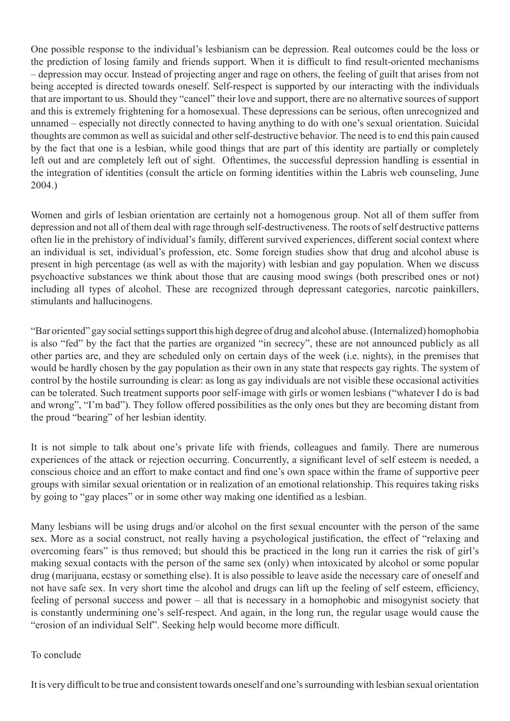One possible response to the individual's lesbianism can be depression. Real outcomes could be the loss or the prediction of losing family and friends support. When it is difficult to find result-oriented mechanisms – depression may occur. Instead of projecting anger and rage on others, the feeling of guilt that arises from not being accepted is directed towards oneself. Self-respect is supported by our interacting with the individuals that are important to us. Should they "cancel" their love and support, there are no alternative sources of support and this is extremely frightening for a homosexual. These depressions can be serious, often unrecognized and unnamed – especially not directly connected to having anything to do with one's sexual orientation. Suicidal thoughts are common as well as suicidal and other self-destructive behavior. The need is to end this pain caused by the fact that one is a lesbian, while good things that are part of this identity are partially or completely left out and are completely left out of sight. Oftentimes, the successful depression handling is essential in the integration of identities (consult the article on forming identities within the Labris web counseling, June 2004.)

Women and girls of lesbian orientation are certainly not a homogenous group. Not all of them suffer from depression and not all of them deal with rage through self-destructiveness. The roots of self destructive patterns often lie in the prehistory of individual's family, different survived experiences, different social context where an individual is set, individual's profession, etc. Some foreign studies show that drug and alcohol abuse is present in high percentage (as well as with the majority) with lesbian and gay population. When we discuss psychoactive substances we think about those that are causing mood swings (both prescribed ones or not) including all types of alcohol. These are recognized through depressant categories, narcotic painkillers, stimulants and hallucinogens.

"Bar oriented" gay social settings support this high degree of drug and alcohol abuse. (Internalized) homophobia is also "fed" by the fact that the parties are organized "in secrecy", these are not announced publicly as all other parties are, and they are scheduled only on certain days of the week (i.e. nights), in the premises that would be hardly chosen by the gay population as their own in any state that respects gay rights. The system of control by the hostile surrounding is clear: as long as gay individuals are not visible these occasional activities can be tolerated. Such treatment supports poor self-image with girls or women lesbians ("whatever I do is bad and wrong", "I'm bad"). They follow offered possibilities as the only ones but they are becoming distant from the proud "bearing" of her lesbian identity.

It is not simple to talk about one's private life with friends, colleagues and family. There are numerous experiences of the attack or rejection occurring. Concurrently, a significant level of self esteem is needed, a conscious choice and an effort to make contact and find one's own space within the frame of supportive peer groups with similar sexual orientation or in realization of an emotional relationship. This requires taking risks by going to "gay places" or in some other way making one identified as a lesbian.

Many lesbians will be using drugs and/or alcohol on the first sexual encounter with the person of the same sex. More as a social construct, not really having a psychological justification, the effect of "relaxing and overcoming fears" is thus removed; but should this be practiced in the long run it carries the risk of girl's making sexual contacts with the person of the same sex (only) when intoxicated by alcohol or some popular drug (marijuana, ecstasy or something else). It is also possible to leave aside the necessary care of oneself and not have safe sex. In very short time the alcohol and drugs can lift up the feeling of self esteem, efficiency, feeling of personal success and power – all that is necessary in a homophobic and misogynist society that is constantly undermining one's self-respect. And again, in the long run, the regular usage would cause the "erosion of an individual Self". Seeking help would become more difficult.

## To conclude

It is very difficult to be true and consistent towards oneself and one's surrounding with lesbian sexual orientation